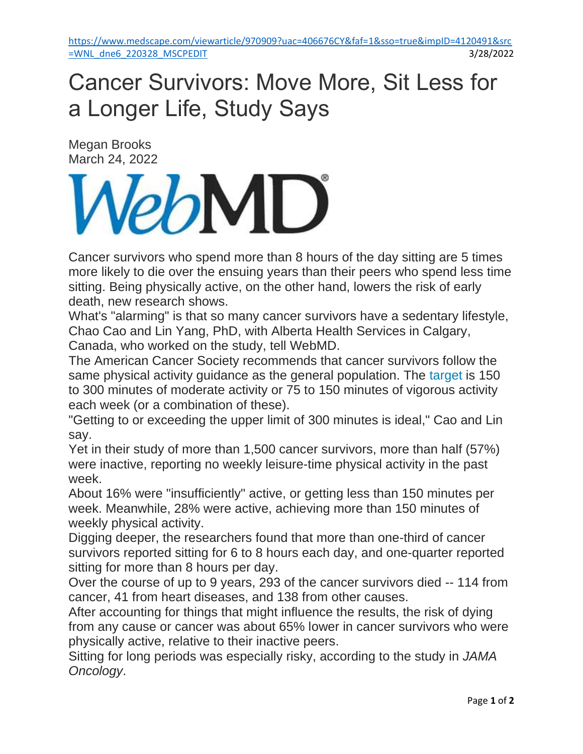## Cancer Survivors: Move More, Sit Less for a Longer Life, Study Says

Megan Brooks March 24, 2022

## MD

Cancer survivors who spend more than 8 hours of the day sitting are 5 times more likely to die over the ensuing years than their peers who spend less time sitting. Being physically active, on the other hand, lowers the risk of early death, new research shows.

What's "alarming" is that so many cancer survivors have a sedentary lifestyle, Chao Cao and Lin Yang, PhD, with Alberta Health Services in Calgary, Canada, who worked on the study, tell WebMD.

The American Cancer Society recommends that cancer survivors follow the same physical activity guidance as the general population. The [target](https://www.cancer.org/healthy/eat-healthy-get-active/acs-guidelines-nutrition-physical-activity-cancer-prevention/guidelines.html) is 150 to 300 minutes of moderate activity or 75 to 150 minutes of vigorous activity each week (or a combination of these).

"Getting to or exceeding the upper limit of 300 minutes is ideal," Cao and Lin say.

Yet in their study of more than 1,500 cancer survivors, more than half (57%) were inactive, reporting no weekly leisure-time physical activity in the past week.

About 16% were "insufficiently" active, or getting less than 150 minutes per week. Meanwhile, 28% were active, achieving more than 150 minutes of weekly physical activity.

Digging deeper, the researchers found that more than one-third of cancer survivors reported sitting for 6 to 8 hours each day, and one-quarter reported sitting for more than 8 hours per day.

Over the course of up to 9 years, 293 of the cancer survivors died -- 114 from cancer, 41 from heart diseases, and 138 from other causes.

After accounting for things that might influence the results, the risk of dying from any cause or cancer was about 65% lower in cancer survivors who were physically active, relative to their inactive peers.

Sitting for long periods was especially risky, according to the study in *JAMA Oncology*.